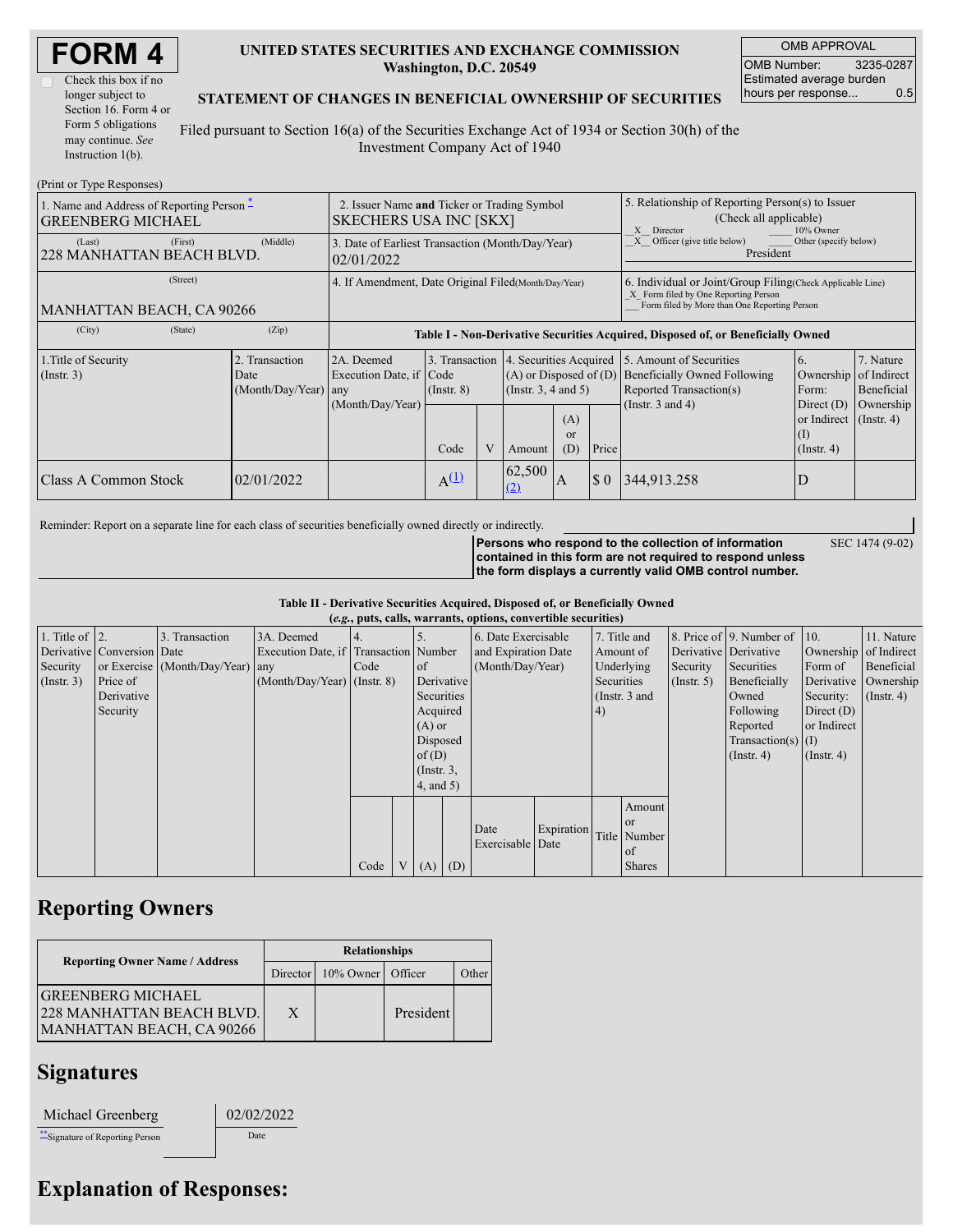| <b>FORM4</b> |  |
|--------------|--|
|--------------|--|

### **UNITED STATES SECURITIES AND EXCHANGE COMMISSION Washington, D.C. 20549**

OMB APPROVAL OMB Number: 3235-0287 Estimated average burden hours per response... 0.5

SEC 1474 (9-02)

#### **STATEMENT OF CHANGES IN BENEFICIAL OWNERSHIP OF SECURITIES**

Filed pursuant to Section 16(a) of the Securities Exchange Act of 1934 or Section 30(h) of the Investment Company Act of 1940

| (Print or Type Responses)                                                       |                                                                              |                                                           |                                                                                  |  |                                                                                              |                                                                                                                                                    |                             |                                                                                                                                        |                                                                                             |                                                          |
|---------------------------------------------------------------------------------|------------------------------------------------------------------------------|-----------------------------------------------------------|----------------------------------------------------------------------------------|--|----------------------------------------------------------------------------------------------|----------------------------------------------------------------------------------------------------------------------------------------------------|-----------------------------|----------------------------------------------------------------------------------------------------------------------------------------|---------------------------------------------------------------------------------------------|----------------------------------------------------------|
| 1. Name and Address of Reporting Person $\tilde{-}$<br><b>GREENBERG MICHAEL</b> | 2. Issuer Name and Ticker or Trading Symbol<br><b>SKECHERS USA INC [SKX]</b> |                                                           |                                                                                  |  |                                                                                              | 5. Relationship of Reporting Person(s) to Issuer<br>(Check all applicable)<br>10% Owner<br>X<br>Director                                           |                             |                                                                                                                                        |                                                                                             |                                                          |
| (First)<br>(Last)<br>228 MANHATTAN BEACH BLVD.                                  | 3. Date of Earliest Transaction (Month/Day/Year)<br>02/01/2022               |                                                           |                                                                                  |  |                                                                                              | Officer (give title below)<br>X<br>Other (specify below)<br>President                                                                              |                             |                                                                                                                                        |                                                                                             |                                                          |
| (Street)<br>MANHATTAN BEACH, CA 90266                                           | 4. If Amendment, Date Original Filed (Month/Day/Year)                        |                                                           |                                                                                  |  |                                                                                              | 6. Individual or Joint/Group Filing Check Applicable Line)<br>X Form filed by One Reporting Person<br>Form filed by More than One Reporting Person |                             |                                                                                                                                        |                                                                                             |                                                          |
| (City)<br>(State)                                                               | (Zip)                                                                        |                                                           | Table I - Non-Derivative Securities Acquired, Disposed of, or Beneficially Owned |  |                                                                                              |                                                                                                                                                    |                             |                                                                                                                                        |                                                                                             |                                                          |
| 1. Title of Security<br>$($ Instr. 3 $)$                                        | 2. Transaction<br>Date<br>(Month/Day/Year) any                               | 2A. Deemed<br>Execution Date, if Code<br>(Month/Day/Year) | 3. Transaction<br>$($ Instr. $8)$<br>V<br>Code                                   |  | 4. Securities Acquired<br>$($ Instr. 3, 4 and 5 $)$<br>(A)<br><sub>or</sub><br>(D)<br>Amount |                                                                                                                                                    | Price                       | 5. Amount of Securities<br>$(A)$ or Disposed of $(D)$ Beneficially Owned Following<br>Reported Transaction(s)<br>(Instr. $3$ and $4$ ) | 6.<br>Ownership of Indirect<br>Form:<br>Direct $(D)$<br>or Indirect<br>(1)<br>$($ Instr. 4) | 7. Nature<br>Beneficial<br>Ownership<br>$($ Instr. 4 $)$ |
| Class A Common Stock                                                            | 02/01/2022                                                                   |                                                           | $A^{(1)}$                                                                        |  | 62,500<br>(2)                                                                                | A                                                                                                                                                  | $\boldsymbol{\mathsf{S}}$ 0 | 344,913.258                                                                                                                            | D                                                                                           |                                                          |

Reminder: Report on a separate line for each class of securities beneficially owned directly or indirectly.

**Persons who respond to the collection of information contained in this form are not required to respond unless the form displays a currently valid OMB control number.**

**Table II - Derivative Securities Acquired, Disposed of, or Beneficially Owned**

|                    |                            |                                  |                                       |      |                 |                     | (e.g., puts, calls, warrants, options, convertible securities) |            |            |                 |                       |                                              |                       |                      |
|--------------------|----------------------------|----------------------------------|---------------------------------------|------|-----------------|---------------------|----------------------------------------------------------------|------------|------------|-----------------|-----------------------|----------------------------------------------|-----------------------|----------------------|
| 1. Title of $ 2$ . |                            | 3. Transaction                   | 3A. Deemed                            |      |                 |                     | 6. Date Exercisable                                            |            |            | 7. Title and    |                       | 8. Price of $\vert$ 9. Number of $\vert$ 10. |                       | 11. Nature           |
|                    | Derivative Conversion Date |                                  | Execution Date, if Transaction Number |      |                 | and Expiration Date |                                                                |            | Amount of  |                 | Derivative Derivative |                                              | Ownership of Indirect |                      |
| Security           |                            | or Exercise (Month/Day/Year) any |                                       | Code | <sub>of</sub>   | (Month/Day/Year)    |                                                                | Underlying |            | Security        | Securities            | Form of                                      | Beneficial            |                      |
| $($ Instr. 3 $)$   | Price of                   |                                  | $(Month/Day/Year)$ (Instr. 8)         |      | Derivative      |                     |                                                                |            | Securities |                 | $($ Instr. 5)         | Beneficially                                 |                       | Derivative Ownership |
|                    | Derivative                 |                                  |                                       |      | Securities      |                     |                                                                |            |            | (Instr. $3$ and |                       | Owned                                        | Security:             | $($ Instr. 4)        |
|                    | Security                   |                                  |                                       |      | Acquired        |                     |                                                                | (4)        |            |                 |                       | Following                                    | Direct $(D)$          |                      |
|                    |                            |                                  |                                       |      | $(A)$ or        |                     |                                                                |            |            |                 |                       | Reported                                     | or Indirect           |                      |
|                    |                            |                                  |                                       |      | Disposed        |                     |                                                                |            |            |                 |                       | Transaction(s) $(I)$                         |                       |                      |
|                    |                            |                                  |                                       |      | of $(D)$        |                     |                                                                |            |            |                 |                       | $($ Instr. 4 $)$                             | $($ Instr. 4 $)$      |                      |
|                    |                            |                                  |                                       |      | $($ Instr. $3,$ |                     |                                                                |            |            |                 |                       |                                              |                       |                      |
|                    |                            |                                  |                                       |      | $4$ , and 5)    |                     |                                                                |            |            |                 |                       |                                              |                       |                      |
|                    |                            |                                  |                                       |      |                 |                     |                                                                |            |            | Amount          |                       |                                              |                       |                      |
|                    |                            |                                  |                                       |      |                 |                     |                                                                |            |            | <b>or</b>       |                       |                                              |                       |                      |
|                    |                            |                                  |                                       |      |                 |                     | Date                                                           | Expiration |            | Title Number    |                       |                                              |                       |                      |
|                    |                            |                                  |                                       |      |                 |                     | Exercisable Date                                               |            |            | of              |                       |                                              |                       |                      |
|                    |                            |                                  |                                       | Code | V(A)            | (D)                 |                                                                |            |            | <b>Shares</b>   |                       |                                              |                       |                      |

### **Reporting Owners**

|                                                                                           | <b>Relationships</b> |              |           |       |  |  |  |
|-------------------------------------------------------------------------------------------|----------------------|--------------|-----------|-------|--|--|--|
| <b>Reporting Owner Name / Address</b>                                                     | Director             | $10\%$ Owner | Officer   | Other |  |  |  |
| <b>GREENBERG MICHAEL</b><br>228 MANHATTAN BEACH BLVD.<br><b>MANHATTAN BEACH, CA 90266</b> | X                    |              | President |       |  |  |  |

02/02/2022

## **Signatures**

| Michael Greenberg |
|-------------------|
|-------------------|

\*\*Signature of Reporting Person Date

# **Explanation of Responses:**